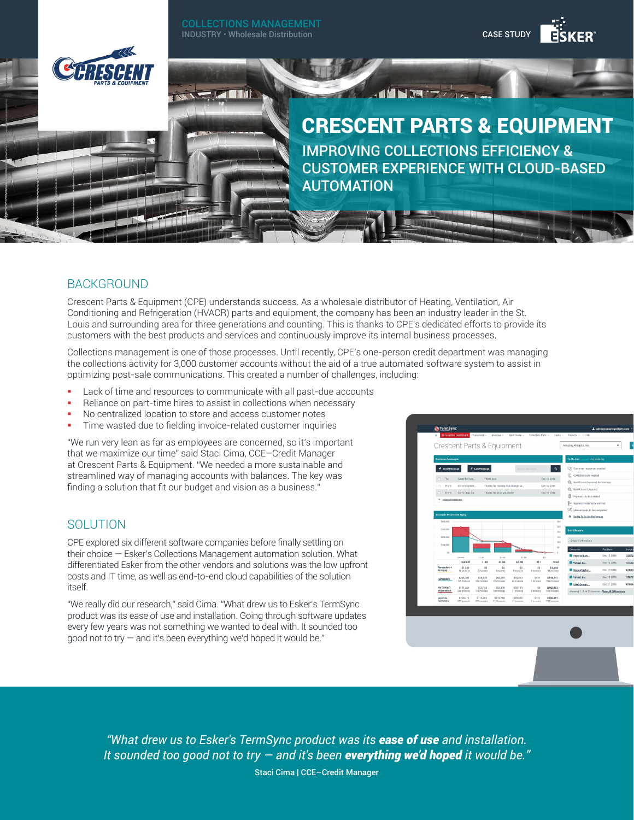

# **BACKGROUND**

Crescent Parts & Equipment (CPE) understands success. As a wholesale distributor of Heating, Ventilation, Air Conditioning and Refrigeration (HVACR) parts and equipment, the company has been an industry leader in the St. Louis and surrounding area for three generations and counting. This is thanks to CPE's dedicated efforts to provide its customers with the best products and services and continuously improve its internal business processes.

Collections management is one of those processes. Until recently, CPE's one-person credit department was managing the collections activity for 3,000 customer accounts without the aid of a true automated software system to assist in optimizing post-sale communications. This created a number of challenges, including:

- Lack of time and resources to communicate with all past-due accounts
- Reliance on part-time hires to assist in collections when necessary
- No centralized location to store and access customer notes
- Time wasted due to fielding invoice-related customer inquiries

"We run very lean as far as employees are concerned, so it's important that we maximize our time" said Staci Cima, CCE–Credit Manager at Crescent Parts & Equipment. "We needed a more sustainable and streamlined way of managing accounts with balances. The key was finding a solution that fit our budget and vision as a business."

## **SOLUTION**

CPE explored six different software companies before finally settling on their choice — Esker's Collections Management automation solution. What differentiated Esker from the other vendors and solutions was the low upfront costs and IT time, as well as end-to-end cloud capabilities of the solution itself.

"We really did our research," said Cima. "What drew us to Esker's TermSync product was its ease of use and installation. Going through software updates every few years was not something we wanted to deal with. It sounded too good not to try — and it's been everything we'd hoped it would be."



*"What drew us to Esker's TermSync product was its ease of use and installation. It sounded too good not to try — and it's been everything we'd hoped it would be."*

Staci Cima | CCE–Credit Manager